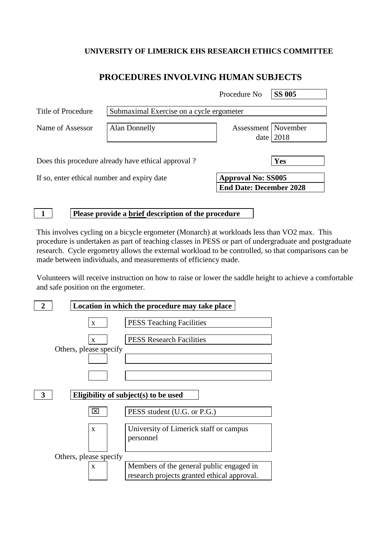### **UNIVERSITY OF LIMERICK EHS RESEARCH ETHICS COMMITTEE**

### **PROCEDURES INVOLVING HUMAN SUBJECTS**

|                                                    |                                          | Procedure No                                                | <b>SS 005</b> |  |
|----------------------------------------------------|------------------------------------------|-------------------------------------------------------------|---------------|--|
| Title of Procedure                                 | Submaximal Exercise on a cycle ergometer |                                                             |               |  |
| Name of Assessor                                   | Alan Donnelly                            | Assessment   November<br>date                               | 2018          |  |
| Does this procedure already have ethical approval? |                                          |                                                             | Yes           |  |
| If so, enter ethical number and expiry date        |                                          | <b>Approval No: SS005</b><br><b>End Date: December 2028</b> |               |  |

**1 Please provide a brief description of the procedure**

This involves cycling on a bicycle ergometer (Monarch) at workloads less than VO2 max. This procedure is undertaken as part of teaching classes in PESS or part of undergraduate and postgraduate research. Cycle ergometry allows the external workload to be controlled, so that comparisons can be made between individuals, and measurements of efficiency made.

Volunteers will receive instruction on how to raise or lower the saddle height to achieve a comfortable and safe position on the ergometer.

| $\overline{2}$                       | Location in which the procedure may take place |                                                                                         |  |  |  |
|--------------------------------------|------------------------------------------------|-----------------------------------------------------------------------------------------|--|--|--|
|                                      | $\mathbf{X}$                                   | <b>PESS Teaching Facilities</b>                                                         |  |  |  |
|                                      | X<br>Others, please specify                    | <b>PESS Research Facilities</b>                                                         |  |  |  |
|                                      |                                                |                                                                                         |  |  |  |
| Eligibility of subject(s) to be used |                                                |                                                                                         |  |  |  |
|                                      | ×                                              | PESS student (U.G. or P.G.)                                                             |  |  |  |
|                                      | $\mathbf{X}$                                   | University of Limerick staff or campus<br>personnel                                     |  |  |  |
| Others, please specify               |                                                |                                                                                         |  |  |  |
|                                      | X                                              | Members of the general public engaged in<br>research projects granted ethical approval. |  |  |  |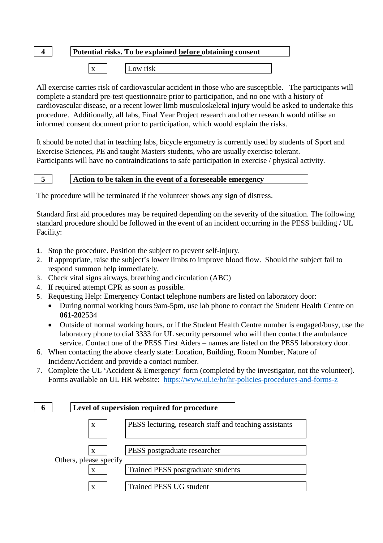# **4 Potential risks. To be explained before obtaining consent**

x Low risk

All exercise carries risk of cardiovascular accident in those who are susceptible. The participants will complete a standard pre-test questionnaire prior to participation, and no one with a history of cardiovascular disease, or a recent lower limb musculoskeletal injury would be asked to undertake this procedure. Additionally, all labs, Final Year Project research and other research would utilise an informed consent document prior to participation, which would explain the risks.

It should be noted that in teaching labs, bicycle ergometry is currently used by students of Sport and Exercise Sciences, PE and taught Masters students, who are usually exercise tolerant. Participants will have no contraindications to safe participation in exercise / physical activity.

#### **5 Action to be taken in the event of a foreseeable emergency**

The procedure will be terminated if the volunteer shows any sign of distress.

Standard first aid procedures may be required depending on the severity of the situation. The following standard procedure should be followed in the event of an incident occurring in the PESS building / UL Facility:

- 1. Stop the procedure. Position the subject to prevent self-injury.
- 2. If appropriate, raise the subject's lower limbs to improve blood flow. Should the subject fail to respond summon help immediately.
- 3. Check vital signs airways, breathing and circulation (ABC)
- 4. If required attempt CPR as soon as possible.
- 5. Requesting Help: Emergency Contact telephone numbers are listed on laboratory door:
	- During normal working hours 9am-5pm, use lab phone to contact the Student Health Centre on **061-20**2534
	- Outside of normal working hours, or if the Student Health Centre number is engaged/busy, use the laboratory phone to dial 3333 for UL security personnel who will then contact the ambulance service. Contact one of the PESS First Aiders – names are listed on the PESS laboratory door.
- 6. When contacting the above clearly state: Location, Building, Room Number, Nature of Incident/Accident and provide a contact number.
- 7. Complete the UL 'Accident & Emergency' form (completed by the investigator, not the volunteer). Forms available on UL HR website: <https://www.ul.ie/hr/hr-policies-procedures-and-forms-z>

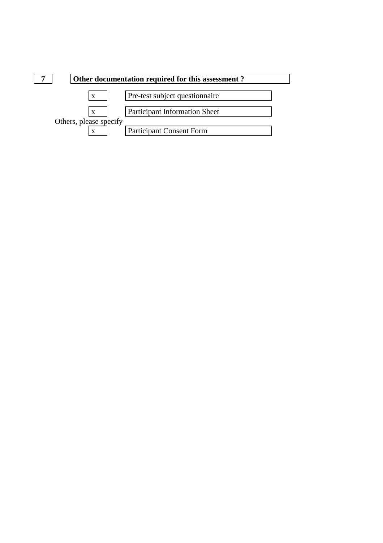